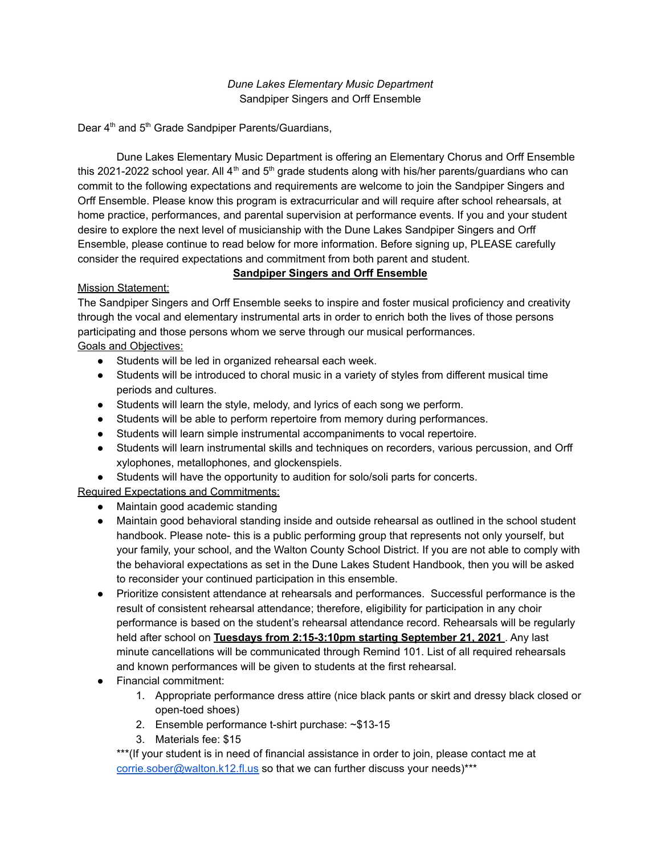### *Dune Lakes Elementary Music Department* Sandpiper Singers and Orff Ensemble

Dear 4<sup>th</sup> and 5<sup>th</sup> Grade Sandpiper Parents/Guardians,

Dune Lakes Elementary Music Department is offering an Elementary Chorus and Orff Ensemble this 2021-2022 school year. All 4<sup>th</sup> and 5<sup>th</sup> grade students along with his/her parents/guardians who can commit to the following expectations and requirements are welcome to join the Sandpiper Singers and Orff Ensemble. Please know this program is extracurricular and will require after school rehearsals, at home practice, performances, and parental supervision at performance events. If you and your student desire to explore the next level of musicianship with the Dune Lakes Sandpiper Singers and Orff Ensemble, please continue to read below for more information. Before signing up, PLEASE carefully consider the required expectations and commitment from both parent and student.

### **Sandpiper Singers and Orff Ensemble**

### Mission Statement:

The Sandpiper Singers and Orff Ensemble seeks to inspire and foster musical proficiency and creativity through the vocal and elementary instrumental arts in order to enrich both the lives of those persons participating and those persons whom we serve through our musical performances.

# Goals and Objectives:

- Students will be led in organized rehearsal each week.
- Students will be introduced to choral music in a variety of styles from different musical time periods and cultures.
- Students will learn the style, melody, and lyrics of each song we perform.
- Students will be able to perform repertoire from memory during performances.
- Students will learn simple instrumental accompaniments to vocal repertoire.
- Students will learn instrumental skills and techniques on recorders, various percussion, and Orff xylophones, metallophones, and glockenspiels.
- Students will have the opportunity to audition for solo/soli parts for concerts.

Required Expectations and Commitments:

- Maintain good academic standing
- Maintain good behavioral standing inside and outside rehearsal as outlined in the school student handbook. Please note- this is a public performing group that represents not only yourself, but your family, your school, and the Walton County School District. If you are not able to comply with the behavioral expectations as set in the Dune Lakes Student Handbook, then you will be asked to reconsider your continued participation in this ensemble.
- Prioritize consistent attendance at rehearsals and performances. Successful performance is the result of consistent rehearsal attendance; therefore, eligibility for participation in any choir performance is based on the student's rehearsal attendance record. Rehearsals will be regularly held after school on **Tuesdays from 2:15-3:10pm starting September 21, 2021** . Any last minute cancellations will be communicated through Remind 101. List of all required rehearsals and known performances will be given to students at the first rehearsal.
- Financial commitment:
	- 1. Appropriate performance dress attire (nice black pants or skirt and dressy black closed or open-toed shoes)
	- 2. Ensemble performance t-shirt purchase: ~\$13-15
	- 3. Materials fee: \$15

\*\*\*(If your student is in need of financial assistance in order to join, please contact me at [corrie.sober@walton.k12.fl.us](mailto:corrie.sober@walton.k12.fl.us) so that we can further discuss your needs)\*\*\*